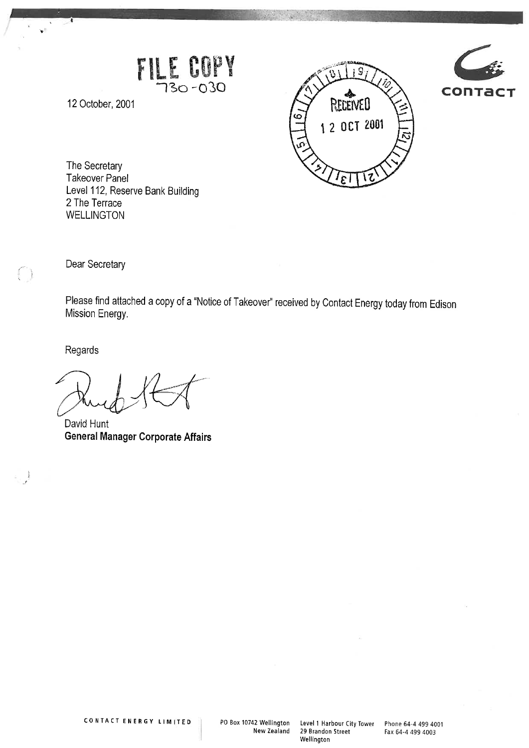



The Secretary Takeover Panel Level 112, Reserve Bank Building 2 The Terrace WELLINGTON

r I

FILE COP

Dear Secretary

 $\bigcap$ 

12 October, 2001

Please find attached a copy of a "Notice of Takeover" received by Contact Energy today from Edison Mission Energy.

Regards

David Hunt General Manager Corporate Affairs

CONTACT ENERGY LIM TED PO Box 10742 Wellington Level 1 Harbour City Tower Phone 64-4 499 4001

29 Brandon Street Fax 64-4 499 4003 Wellington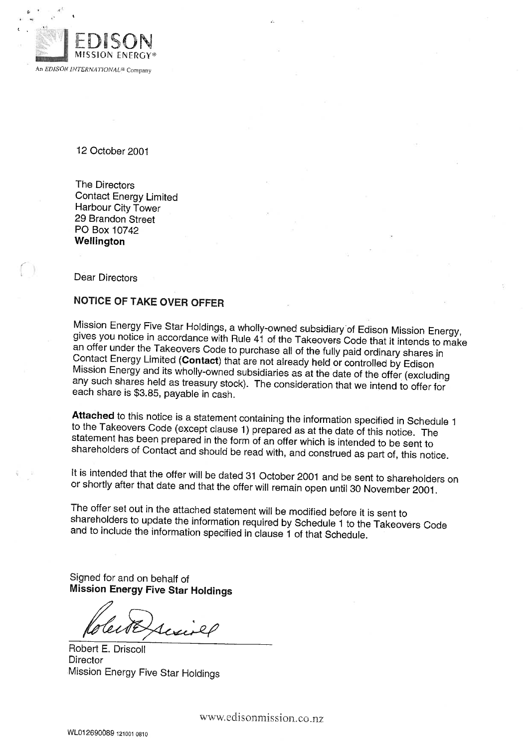

12 October 2001

The Directors Contact Energy Limited Harbour City Tower 29 Brandon Street PO Box 10742 Wellington

Dear Directors

## NOTICE OF TAKE OVER OFFER

Mission Energy Five Star Holdings, a wholly-owned subsidiary of Edison Mission Energy, gives you notice in accordance with Rule 41 of the Takeovers Code that it intends to make an offer under the Takeovers Code to purchase all of the fully paid ordinary shares in Contact Energy Limited (Contact) that are not already held or controlled by Edison Mission Energy and its wholly-owned subsidiaries as at the date of the offer (excluding any such shares held as treasury stock). The consideration that we intend to offer for each share is \$3.85, payable in cash.

Attached to this notice is a statement containing the information specified in Schedule 1 to the Takeovers Code (except clause 1) prepared as at the date of this notice. The statement has been prepared in the form of an offer which is intended to be sent to shareholders of Contact and should be read with, and construed as part of, this notice.

It is intended that the offer will be dated 31 October 2001 and be sent to shareholders on or shortly after that date and that the offer will remain open until 30 November 2001.

The offer set out in the attached statement will be modified before it is sent to shareholders to update the information required by Schedule 1 to the Takeovers Code and to include the information specified in clause 1 of that Schedule.

Signed for and on behalf of Mission Energy Five Star Holdings

Robert E. Driscoll **Director** Mission Energy Five Star Holdings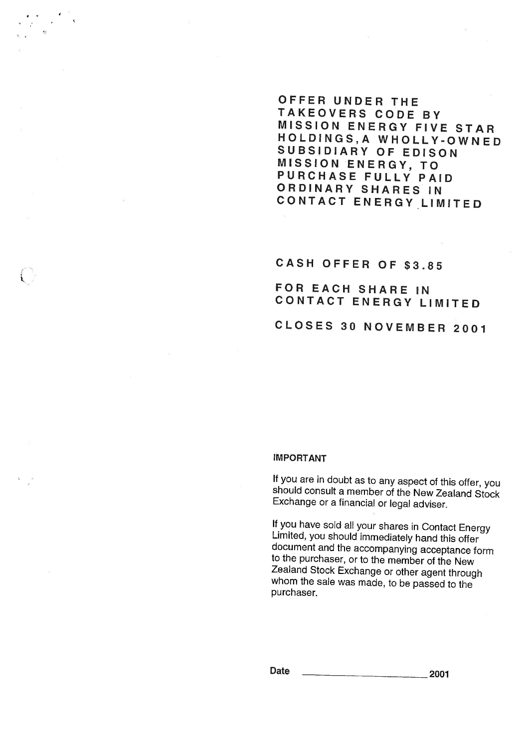## OFFER UNDER THE TAKEOVERS CODE BY MISSION ENERGY FIVE STAR HOLDINGS,A WHOLLY-OWNED SUBSIDIARY OF EDISON MISSION ENERGY, TO PURCHASE FULLY PAID ORDINARY SHARES IN CONTACT ENERGY LIMITED

CASH OFFER OF \$3.85

FOR EACH SHARE IN CONTACT ENERGY LIMITED

CLOSES 30 NOVEMBER 2001

#### IMPORTANT

If you are in doubt as to any aspect of this offer, you should consult a member of the New Zealand Stock Exchange or a financial or legal adviser.

If you have sold all your shares in Contact Energy Limited, you should immediately hand this offer document and the accompanying acceptance form to the purchaser, or to the member of the New Zealand Stock Exchange or other agent through whom the sale was made, to be passed to the purchaser.

 $\Omega$ ate 2001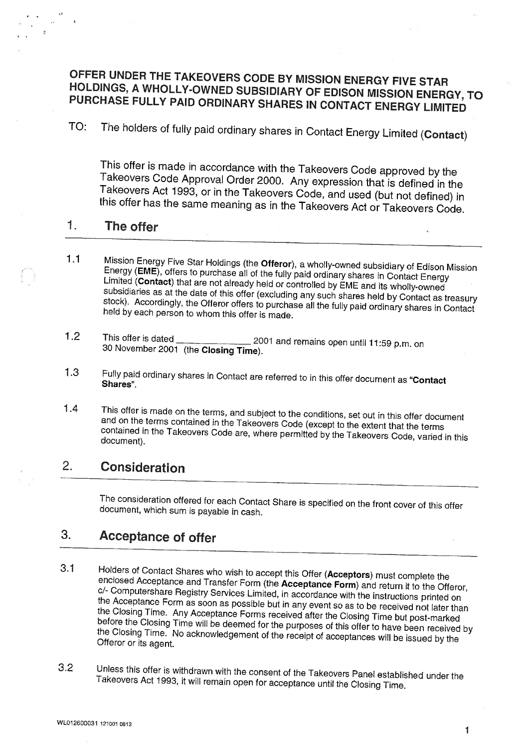# OFFER UNDER THE TAKEOVERS CODE BY MISSION ENERGY FIVE STAR HOLDINGS, A WHOLLY-OWNED SUBSIDIARY OF EDISON MISSION ENERGY, TO PURCHASE FULLY PAID ORDINARY SHARES IN CONTACT ENERGY LIMITED

TO: The holders of fully paid ordinary shares in Contact Energy Limited (Contact)

This offer is made in accordance with the Takeovers Code approved by the Takeovers Code Approval Order 2000. Any expression that is defined in the Takeovers Act 1993, or in the Takeovers Code, and used (but not defined) in this offer has the same meaning as in the Takeovers Act or Takeovers Code.

#### 1. The offer

- 1.1 Mission Energy Five Star Holdings (the Offeror), awholly-owned subsidiary of Edison Mission Energy (EME), offers to purchase all of the fully paid ordinary shares in Contact Energy Limited (Contact) that are not already held or controlled by EME and its wholty-owned subsidiaries as at the date of this offer (excluding any such shares held by Contact as treasury stock). Accordingly, the Offeror offers to purchase all the fully paid ordinary shares in Contact held by each person to whom this offer is made.
- 1.2 This offer is dated 30 November 2001 (the Closing Time). 2001 and remains open until 11:59 p.m. on
- 1.3 Fully paid ordinary shares in Contact are referred to in this offer document as "Contact Shares".
- 1.4 This offer is made on the terms, and subject to the conditions, set out in this offer document and on the terms contained in the Takeovers Code (except to the extent that the terms contained in the Takeovers Code are, where permitted by the Takeovers Code, varied in this document).

# 2. Consideration

The consideration offered for each Contact Share is specified on the front cover of this offer document, which sum is payable in cash.

# 3. Acceptance of offer

- 3.1 Holders of Contact Shares who wish to accept this Offer (Acceptors) must complete the enclosed Acceptance and Transfer Form (the Acceptance Form) and return it to the Offeror, c/- Computershare Registry Services Limited, in accordance with the instructions printed on the Acceptance Form as soon as possible but in any event so as to be received not later than the Closing Time. Any Acceptance Forms received after the Closing Time but post-marked before the Closing Time will be deemed for the purposes of this offer to have been received by the Closing Time. No acknowledgement of the receipt of acceptances will be issued by the Offeror or its agent.
- 3.2 Unless this offer is withdrawn with the consent of the Takeovers Panel established under the Takeovers Act 1993, it will remain open for acceptance until the Closing Time.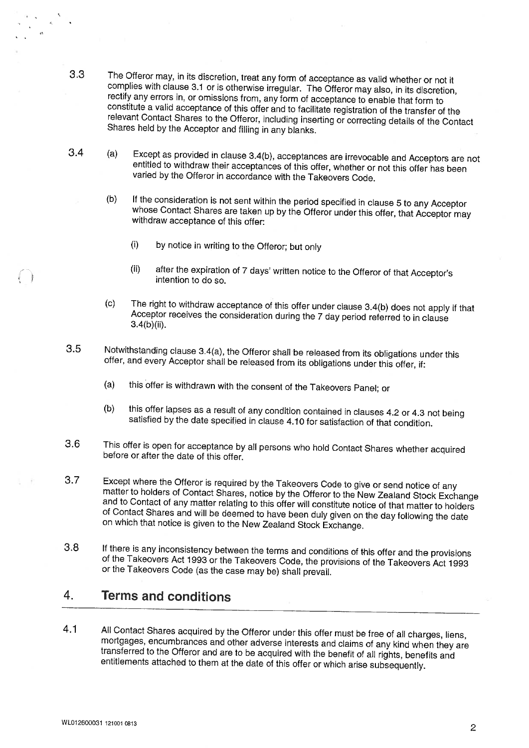- 3.3 The Offeror may, in its discretion, treat any form of acceptance as valid whether or not it complies with clause 3.1 or is otherwise irregular. The Offeror may also, in its discretion, rectify any errors in, or omissions from, any form of acceptance to enable that form to constitute a valid acceptance of this offer and to facilitate registration of the transfer of the relevant Contact Shares to the Offeror, including inserting ol: correcting details'of'the'Contact Shares held by the Acceptor and filling in any blanks.
- 3.4  $(a)$ Except as provided in clause 3.4(b), acceptances are irrevocable and Acceptors are not entitled to withdraw their acceptances of this offer, whether or not this offer has been varied by the Offeror in accordance with the Takeovers Code.
	- (b) If the consideration is not sent within the period specified in clause 5 to any Acceptor whose Contact Shares are taken up by the Offeror under this offer, that Acceptor may withdraw acceptance of this offer:
		- (i) by notice in writing to the Offeror; but only
		- (ii) after the expiration of 7 days' written notice to the Offeror of that Acceptor's intention to do so.
	- (c) The right to withdraw acceptance of this offer under clause 3.4(b) does not apply if that Acceptor receives the consideration during the 7 day period referred to in clause 3.4(b)(ii).
- 3.5 Notwithstanding clause 3.4(a), the Offeror shall be released from its obligations under this offer, and every Acceptor shall be released from its obligations under this offer, if:
	- (a) this offer is withdrawn with the consent of the Takeovers Panel; or
	- (b) this offer lapses as a result of any condition contained in clauses 4.2 or 4.3 not being satisfied by the date specified in clause 4.10 for satisfaction of that condition.
- 3.6 This offer is open for acceptance by all persons who hold Contact Shares whether acquired before or after the date of this offer.
- 3.7 Except where the Offeror is required by the Takeovers Code to give or send notice of matter to holders of Contact Shares, notice by the Offeror to the New Zealand Stock Exchange and to Contact of any matter relating to this offer will constitute notice of that matter to holders of Contact Shares and will be deemed to have been duly given on the day following the date on which that notice is given to the New Zealand Stock Exchange.
- 3.8 If there is any inconsistency between the terms and conditions of this offer and the provisions of the Takeovers Act 1993 or the Takeovers Code, the provisions of the Takeovers Act 1993 or the Takeovers Code (as the case may be) shall prevail.

#### 4. Terms and conditions

4.1 All Contact Shares acquired by the Offeror under this offer must be free of all charges, liens, mortgages, encumbrances and other adverse interests and claims of any kind when they are transferred to the Offeror and are to be acquired with the benefit of all rights, benefits and entitlements attached to them at the date of this offer or which arise subsequently.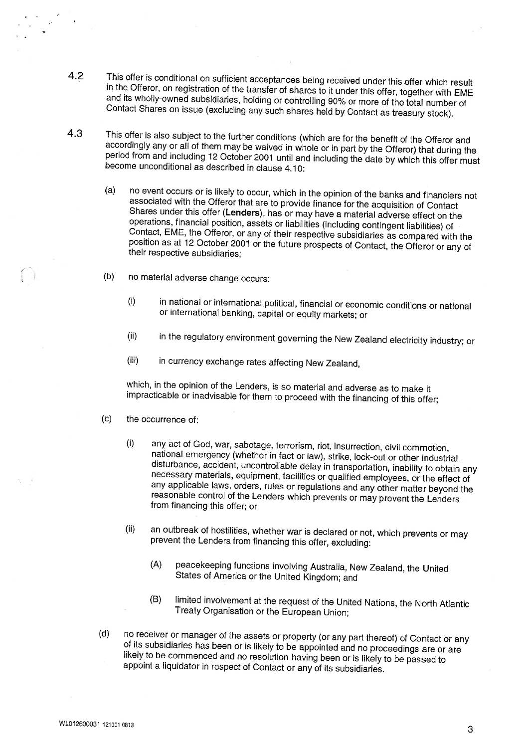- 4.2 This offer is conditional on sufficient acceptances being received under this offer which result in the Offeror, on registration of the transfer of shares to it under this offer, together with EME and its wholly-owned subsidiaries, holding or controlling 90% or more of the total number of Contact Shares on issue (excluding any such shares held by Contact as treasury stock).
- 4.3 This offer is also subject to the further conditions (which are for the benefit of the Offeror and accordingly any or all of them may be waived in whole or in part by the Offeror) that during the period from and including 12 October 2001 until and including the date by which this offer must become unconditional as described in clause 4.10:
	- (a) no event occurs or is likely to occur, which in the opinion of the banks and financiers not associated with the Offerorthat are to provide finance for the acquisition of Contact Shares under this offer (Lenders), has or may have a material adverse effect on the operations, financial position, assets or liabilities (including contingent liabilities) of Contact, EME, the Offeror, or any of their respective subsidiaries as compared with the position as at 12 October 2001 or the future prospects of Contact, the Offeror or any of their respective subsidiaries;
	- (b) no material adverse change occurs:
		- (i) in national or international political, financial or economic conditions or national or international banking, capital or equity markets; or
		- (ii) in the regulatory environment governing the New Zealand electricity industry; or
		- (iii) in currency exchange rates affecting New Zealand,

which, in the opinion of the Lenders, is so material and adverse as to make it impracticable or inadvisable for them to proceed with the financing of this offer;

- (c) the occurrence of:
	- (i) any act of God, war, sabotage, terrorism, riot, insurrection, civil commotion, national emergency (whether in fact or law), strike, lock-out or other industrial disturbance, accident, uncontrollable delay in transportation, inability to obtain any necessary materials, equipment, facilities or qualified employees, or the effect of any applicable laws, orders, rules or regulations and any other matter beyond the reasonable control of the Lenders which prevents or may prevent the Lenders from financing this offer; or
	- (ii) an outbreak of hostilities, whether war is declared or not, which prevents or may prevent the Lenders from financing this offer, excluding:
		- (A) peacekeeping functions involving Australia, New Zealand, the United States of America or the United Kingdom; and
		- (B) limited involvement at the request of the United Nations, the North Atlantic Treaty Organisation or the European Union;
- (d) no receiver or manager of the assets or property (or any part thereof) of Contact or any of its subsidiaries has been or is likely to be appointed and no proceedings are or are likely to be commenced and no resolution having been or is likely to be passed to appoint a iiquidator in respect of Contact or any of its subsidiaries.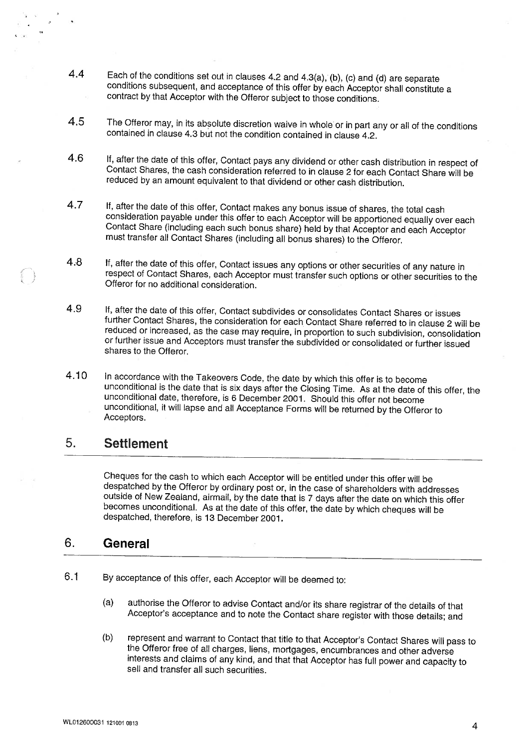- 4.4 Each of the conditions set out in clauses 4.2 and 4.3(a), (b), (c) and (d) are separate conditions subsequent, and acceptance of this offer by each Acceptor shall constitute a contract by that Acceptor with the Offeror subject to those conditions.
- 4.5 The Offeror may, in its absolute discretion waive in whole or in part any or all of the conditions contained in clause 4,3 but not the condition contained in clause 4.2.
- 4.6 If, after the date of this offer, Contact pays any dividend or other cash distribution in respect of Contact Shares, the cash consideration referred to in clause 2 for each Contact Share will be reduced by an amount equivalent to that dividend or other cash distribution.
- 4.7 If, after the date of this offer. Contact makes any bonus issue of shares, the total cash consideration payable under this offer to each Acceptor will be apportioned equally over each Contact Share (including each such bonus share) held by that Acceptor and each Acceptor must transfer all Contact Shares (including all bonus shares) to the Offeror.
- 4.8 If, after the date of this offer, Contact issues any options or other securities of any nature in respect of Contact Shares, each Acceptor must transfer such options or other securities to the Offeror for no additional consideration.
- 4.9 If, after the date of this offer, Contact subdivides or consolidates Contact Shares or issues further Contact Shares, the consideration for each Contact Share referred to in clause 2 will be reduced or increased, as the case may require, in proportion to such subdivision, consolidation or further issue and Acceptors must transfer the subdivided or consolidated or further issued shares to the Offeror.
- 4.10 In accordance with the Takeovers Code, the date by which this offer is to become unconditional is the date that is six days after the Closing Time. As at the date of this offer, the unconditional date, therefore, is 6 December 2001. Should this offer not become unconditional, it will lapse and all Acceptance Forms will be returned by the Offeror to Acceptors.

# 5. Settlement

Cheques for the cash to which each Acceptor will be entitled under this offer will be despatched by the Offeror by ordinary post or, in the case of shareholders with addresses outside of New Zealand, airmail, by the date that is 7 days after the date on which this offer becomes unconditional. As at the date of this offer, the date by which cheques will be despatched, therefore, is 13 December 2001.

# 6. General

- 6.1 By acceptance of this offer, each Acceptor will be deemed to:
	- (a) authorise the Offeror to advise Contact and/or its share registrar of the details of that Acceptor's acceptance and to note the Contact share register with those details; and
	- (b) represent and warrant to Contact that title to that Acceptor's Contact Shares will pass to the Offeror free of all charges, liens, mortgages, encumbrances and other adverse interests and claims of any kind, and that that Acceptor has full power and capacity to sell and transfer all such securities.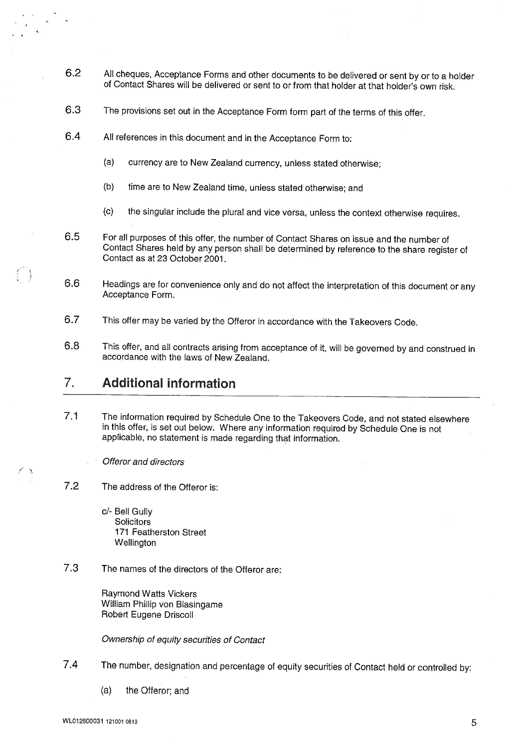- 6.2 All cheques, Acceptance Forms and other documents to be delivered or sent by or to a holder of Contact Shares will be delivered or sent to or from that holder at that holder's own risk.
- 6.3 The provisions set out in the Acceptance Form form part of the terms of this offer.
- 6.4 All references in this document and in the Acceptance Form to:
	- (a) currency are to New Zealand currency, unless stated otherwise;
	- (b) time are to New Zealand time, unless stated otherwise; and
	- (c) the singular include the plural and vice versa, unless the context otherwise requires.
- 6.5 For all purposes of this offer, the number of Contact Shares on issue and the number of Contact Shares held by any person shall be determined by reference to the share register of Contact as at 23 October 2001.
- 6.6 Headings are for convenience only and do not affect the interpretation of this document or any Acceptance Form.
- 6.7 This offer may be varied by the Offeror in accordance with.the Takeovers Code.
- 6.8 This offer, and all contracts arising from acceptance of it, will be governed by and construed in accordance with the laws of New Zealand.

# 7. Additional information

 $\bigcap$  $\frac{1}{\rho} \frac{\partial \phi}{\partial \rho}$ 

- 7.1 The information required by Schedule One to the Takeovers Code, and not stated elsewhere in this offer, is set out below. Where any information required by Schedule One is not applicable, no statement is made regarding that information.
	- Offeror and directors
- 7.2 The address of the Offeror is:
	- c/- Bell Gully **Solicitors** 171 Featherston Street **Wellington**
- 7.3 The names of the directors of the Offeror are:

Raymond Watts Vickers William Phillip von Blasingame Robert Eugene Driscoll

Ownership of equity securities of Contact

- 7.4 The number, designation and percentage of equity securities of Contact held or controlled by:
	- (a) the Offeror; and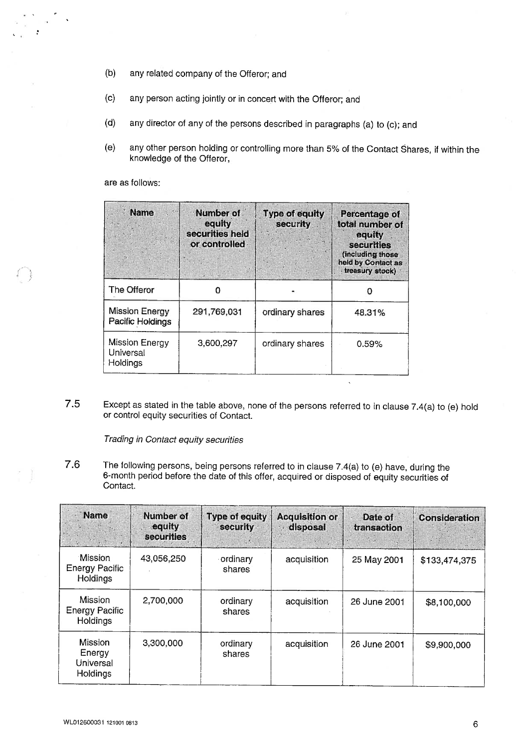- (b) any related company of the Offeror; and
- (c) any person acting jointly or in concert with the Offeror; and
- (d) any director of any of the persons described in paragraphs (a) to (c); and
- (e) any other person holding or controlling more than 5% of the Contact Shares, if within the knowledge of the Offeror,

are as follows:

| <b>Name</b>                               | Number of<br>equity<br>securities held<br>or controlled | Type of equity<br>security | Percentage of<br>total number of<br>equity<br>securities<br>(including those<br>held by Contact as<br>treasury stock) |
|-------------------------------------------|---------------------------------------------------------|----------------------------|-----------------------------------------------------------------------------------------------------------------------|
| The Offeror                               |                                                         |                            |                                                                                                                       |
| <b>Mission Energy</b><br>Pacific Holdings | 291,769,031                                             | ordinary shares            | 48.31%                                                                                                                |
| Mission Energy<br>Universal<br>Holdings   | 3,600,297                                               | ordinary shares            | 0.59%                                                                                                                 |

7.5 Except as stated in the table above, none of the persons referred to in clause 7.4(a) to (e) hold or control equity securities of Contact.

Trading in Contact equity securities

7.6 The following persons, being persons referred to in clause 7.4(a) to (e) have, during the 6-month period before the date of this offer, acquired or disposed of equity securities of Contact.

| Name                                                | Number of<br>equity<br>securities | <b>Type of equity</b><br>security | <b>Acquisition or</b><br>disposal | Date of<br>transaction | <b>Consideration</b> |
|-----------------------------------------------------|-----------------------------------|-----------------------------------|-----------------------------------|------------------------|----------------------|
| Mission<br><b>Energy Pacific</b><br>Holdings        | 43,056,250                        | ordinary<br>shares                | acquisition                       | 25 May 2001            | \$133,474,375        |
| Mission<br><b>Energy Pacific</b><br><b>Holdings</b> | 2,700,000                         | ordinary<br>shares                | acquisition                       | 26 June 2001           | \$8,100,000          |
| <b>Mission</b><br>Energy<br>Universal<br>Holdings   | 3,300,000                         | ordinary<br>shares                | acquisition                       | 26 June 2001           | \$9,900,000          |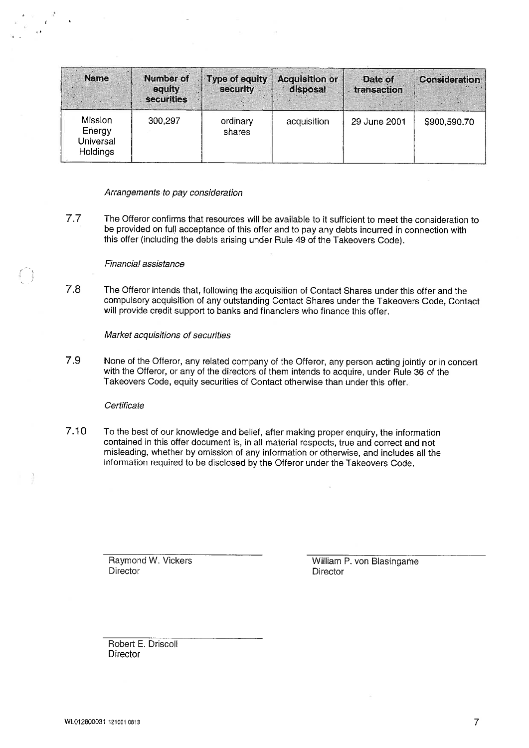| <b>Name</b>                                       | <b>Number of</b><br>equity<br>securities | <b>Type of equity</b><br>security | <b>Acquisition or</b><br>disposal | Date of<br>transaction | <b>Consideration</b> |
|---------------------------------------------------|------------------------------------------|-----------------------------------|-----------------------------------|------------------------|----------------------|
| Mission<br>Energy<br>Universal<br><b>Holdings</b> | 300,297                                  | ordinary<br>shares                | acquisition                       | 29 June 2001           | \$900,590.70         |

Arrangements to pay consideration

7.7 The Offeror confirms that resources will be available to it sufficient to meet the consideration to be provided on full acceptance of this offer and to pay any debts incurred in connection with this offer (including the debts arising under Rule 49 of the Takeovers Code).

#### Financial assistance

7.8 The Offeror intends that, following the acquisition of Contact Shares under this offer and the compulsory acquisition of any outstanding Contact Shares under the Takeovers Code, Contact will provide credit support to banks and financiers who finance this offer.

Market acquisitions of securities

7.9 None of the Offeror, any related company of the Offeror, any person acting jointly or in concert with the Offeror, or any of the directors of them intends to acquire, under Rule 36 of the Takeovers Code, equity securities of Contact otherwise than under this offer

#### **Certificate**

P

7.10 To the best of our knowledge and belief, after making proper enquiry, the information contained in this offer document is, in all material respects, true and correct and not misleading, whether by omission of any information or otherwise, and includes all the information required to be disclosed by the Offeror under the Takeovers Code.

> Raymond W. Vickers **Director**

William P. von Blasingame **Director** 

Robert E. Driscoll **Director**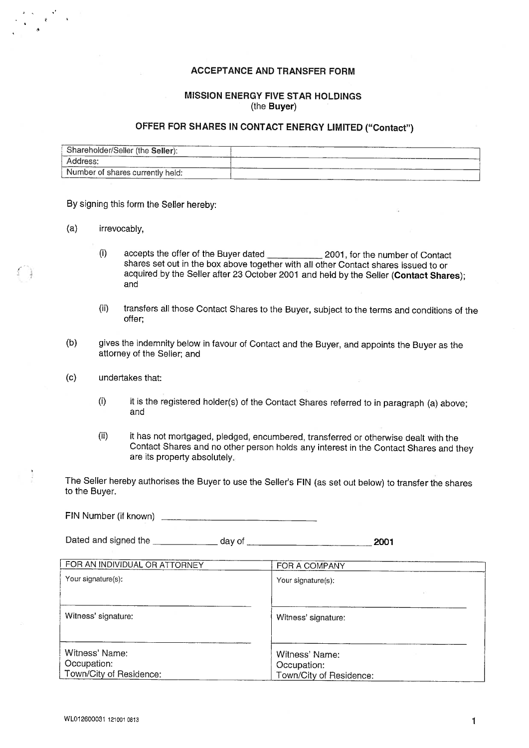### ACCEPTANCE AND TRANSFER FORM

### MISSION ENERGY FIVE STAR HOLDINGS (the Buyer)

### OFFER FOR SHARES IN CONTACT ENERGY LIMITED ("Contact")

| Shareholder/Seller (the Seller): |  |
|----------------------------------|--|
| Address:                         |  |
| Number of shares currently held: |  |

By signing this form the Seller hereby:

- (a) irrevocably,
	- (i) accepts the offer of the Buyer dated 2001, for the number of Contact shares set out in the box above together with all other Contact shares issued to or acquired by the Seller after 23 October 2001 and held by the Seller (Contact Shares); and
	- (ii) transfers all those Contact Shares to the Buyer, subject to the terms and conditions of the offer;
- (b) gives the indemnity below in favour of Contact and the Buyer, and appoints the Buyer as the attorney of the Seller; and
- (c) undertakes that:
	- (i) it is the registered holder(s) of the Contact Shares referred to in paragraph (a) above; and
	- (ii) it has not mortgaged, pledged, encumbered, transferred or otherwise dealt with the Contact Shares and no other person holds any interest in the Contact Shares and they are its property absolutely

The Seller hereby authorises the Buyer to use the Seller's FIN (as set out below) to transfer the shares to the Buyer.

FIN Number (if known) Dated and signed the <u>exameded</u> day of ... The day of ... **2001** 

| FOR AN INDIVIDUAL OR ATTORNEY | FOR A COMPANY           |
|-------------------------------|-------------------------|
| Your signature(s):            | Your signature(s):      |
|                               |                         |
| Witness' signature:           | Witness' signature:     |
| Witness' Name:                | Witness' Name:          |
| Occupation:                   | Occupation:             |
| Town/City of Residence:       | Town/City of Residence: |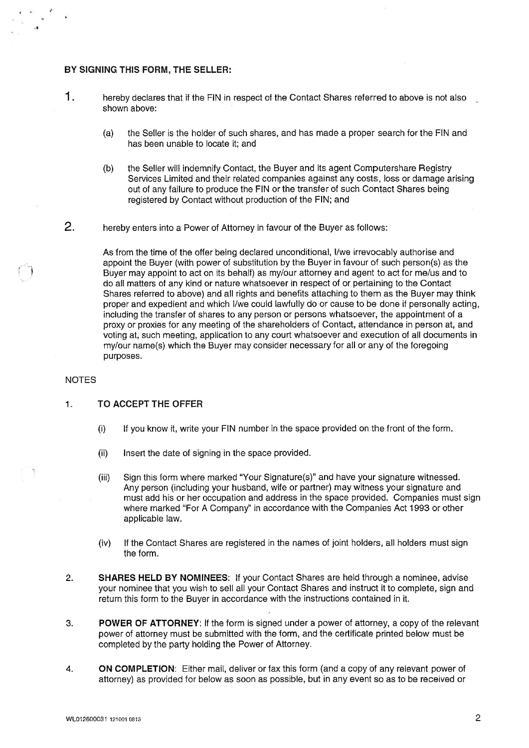#### BY SIGNING THIS FORM, THE SELLER:

- 1. hereby declares that if the FIN in respect of the Contact Shares referred to above is not also shown above:
	- (a) the Seller is the holder of such shares, and has made a proper search for the FIN and has been unable to locate it; and
	- (b) the Seller will indemnify Contact, the Buyer and its agent Computershare Registry Services Limited and their related companies against any costs, loss or damage arising out of any failure to produce the FIN or the transfer of such Contact Shares being registered by Contact without production of the FIN; and
- 2. hereby enters into a Power of Attorney in favour of the Buyer as follows:

As from the time of the offer being declared unconditional, 1/we irrevocably authorise and appoint the Buyer (with power of substitution by the Buyer in favour of such person(s) as the Buyer may appoint to act on its behalf) as my/our attorney and agent to act for me/us and to do all matters of any kind or nature whatsoever in respect of or pertaining to the Contact Shares referred to above) and all rights and benefits attaching to them as the Buyer may think proper and expedient and which 1/we could lawfully do or cause to be done if personally acting, including the transfer of shares to any person or persons whatsoever, the appointment of a proxy or proxies for any meeting of the shareholders of Contact, attendance in person at, and voting at, such meeting, application to any court whatsoever and execution of all documents in my/our name(s) which the Buyer may consider necessary for all or any of the foregoing purposes.

#### **NOTES**

#### 1. TO ACCEPT THE OFFER

- (i) If you know it, write your FIN number in the space provided on the front of the form.
- (ii) Insert the date of signing in the space provided.
- (iii) Sign this form where marked "Your Signature(s)" and have your signature witnessed. Any person (including your husband, wife or partner) may witness your signature and must add his or her occupation and address in the space provided. Companies must sign where marked "For A Company" in accordance with the Companies Act 1993 or other applicable law.
- (iv) If the Contact Shares are registered in the names of joint holders, all holders must sign the form.
- 2. SHARES HELD BY NOMINEES: If your Contact Shares are held through a nominee, advise your nominee that you wish to sell all your Contact Shares and instruct it to complete, sign and return this form to the Buyer in accordance with the instructions contained in it.
- 3. POWER OF ATTORNEY; If the form is signed under a power of attorney, a copy of the relevant power of attorney must be submitted with the form, and the certificate printed below must be completed by the party holding the Power of Attorney.
- 4. ON COMPLETION: Either mail, deliver or fax this form (and a copy of any relevant power of attorney) as provided for below as soon as possible, but in any event so as to be received or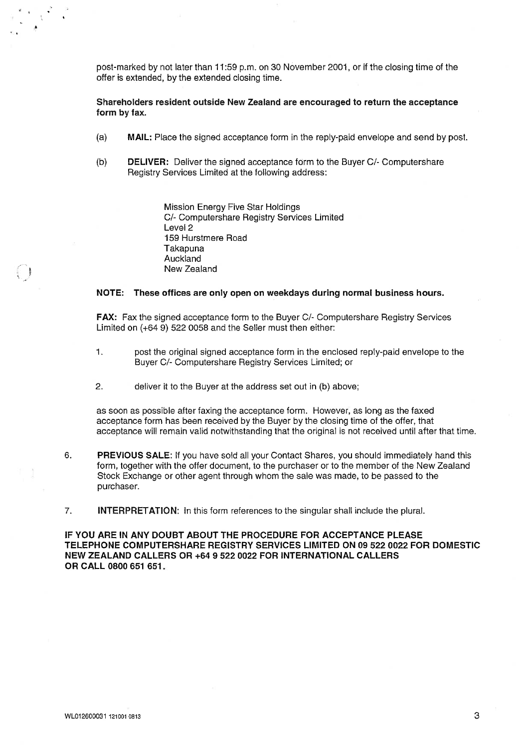post-marked by not later than 11:59 p.m. on 30 November 2001, or if the closing time of the offer is extended, by the extended closing time.

#### Shareholders resident outside New Zealand are encouraged to return the acceptance form by fax.

- (a) MAIL: Place the signed acceptance form in the reply-paid envelope and send by post.
- (b) DELIVER: Deliver the signed acceptance form to the Buyer C/- Computershare Registry Services Limited at the following address:

Mission Energy Five Star Holdings C/- Computershare Registry Services Limited Level 2 159 Hurstmere Road Takapuna Auckland New Zealand

#### NOTE: These offices are only open on weekdays during normal business hours.

FAX: Fax the signed acceptance form to the Buyer C/- Computershare Registry Services Limited on (+64 9) 522 0058 and the Seller must then either:

- 1. post the original signed acceptance form in the enclosed reply-paid envelope to the Buyer C/- Computershare Registry Services Limited; or
- 2. deliver it to the Buyer at the address set out in (b) above;

as soon as possible after faxing the acceptance form. However, as long as the faxed acceptance form has been received by the Buyer by the closing time of the offer, that acceptance will remain valid notwithstanding that the original is not received until after that time.

- 6. PREVIOUS SALE: If you have sold all your Contact Shares, you should immediately hand this form, together with the offer document, to the purchaser or to the member of the New Zealand Stock Exchange or other agent through whom the sale was made, to be passed to the purchaser.
- 7. INTERPRETATION: In this form references to the singular shall include the plural.

IF YOU ARE IN ANY DOUBT ABOUT THE PROCEDURE FOR ACCEPTANCE PLEASE TELEPHONE COMPUTERSHARE REGISTRY SERVICES LIMITED ON 09 522 0022 FOR DOMESTIC NEW ZEALAND CALLERS OR +64 9 522 0022 FOR INTERNATIONAL CALLERS OR CALL 0800 651 651

 $\cdot$